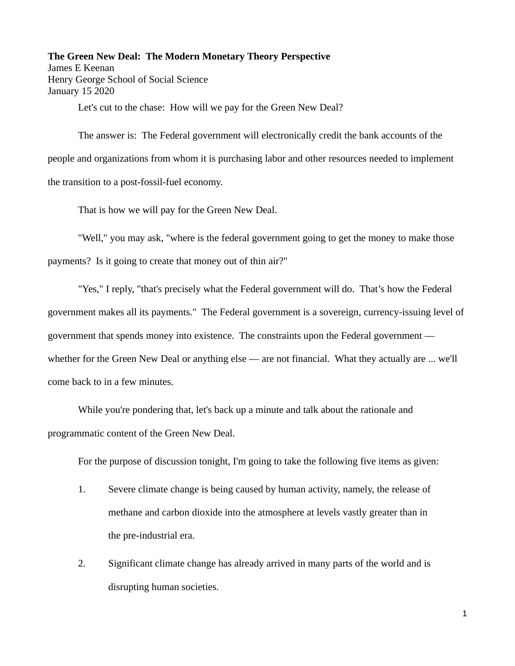**The Green New Deal: The Modern Monetary Theory Perspective** James E Keenan Henry George School of Social Science January 15 2020

Let's cut to the chase: How will we pay for the Green New Deal?

The answer is: The Federal government will electronically credit the bank accounts of the people and organizations from whom it is purchasing labor and other resources needed to implement the transition to a post-fossil-fuel economy.

That is how we will pay for the Green New Deal.

"Well," you may ask, "where is the federal government going to get the money to make those payments? Is it going to create that money out of thin air?"

"Yes," I reply, "that's precisely what the Federal government will do. That's how the Federal government makes all its payments." The Federal government is a sovereign, currency-issuing level of government that spends money into existence. The constraints upon the Federal government whether for the Green New Deal or anything else — are not financial. What they actually are ... we'll come back to in a few minutes.

While you're pondering that, let's back up a minute and talk about the rationale and programmatic content of the Green New Deal.

For the purpose of discussion tonight, I'm going to take the following five items as given:

- 1. Severe climate change is being caused by human activity, namely, the release of methane and carbon dioxide into the atmosphere at levels vastly greater than in the pre-industrial era.
- 2. Significant climate change has already arrived in many parts of the world and is disrupting human societies.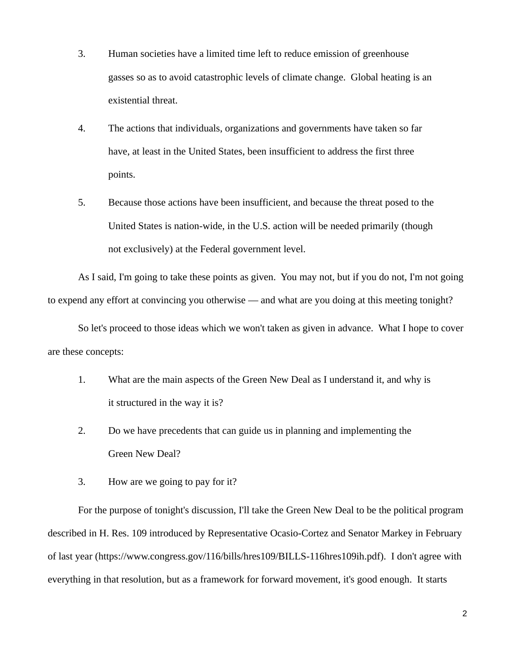- 3. Human societies have a limited time left to reduce emission of greenhouse gasses so as to avoid catastrophic levels of climate change. Global heating is an existential threat.
- 4. The actions that individuals, organizations and governments have taken so far have, at least in the United States, been insufficient to address the first three points.
- 5. Because those actions have been insufficient, and because the threat posed to the United States is nation-wide, in the U.S. action will be needed primarily (though not exclusively) at the Federal government level.

As I said, I'm going to take these points as given. You may not, but if you do not, I'm not going to expend any effort at convincing you otherwise — and what are you doing at this meeting tonight?

So let's proceed to those ideas which we won't taken as given in advance. What I hope to cover are these concepts:

- 1. What are the main aspects of the Green New Deal as I understand it, and why is it structured in the way it is?
- 2. Do we have precedents that can guide us in planning and implementing the Green New Deal?
- 3. How are we going to pay for it?

For the purpose of tonight's discussion, I'll take the Green New Deal to be the political program described in H. Res. 109 introduced by Representative Ocasio-Cortez and Senator Markey in February of last year (https://www.congress.gov/116/bills/hres109/BILLS-116hres109ih.pdf). I don't agree with everything in that resolution, but as a framework for forward movement, it's good enough. It starts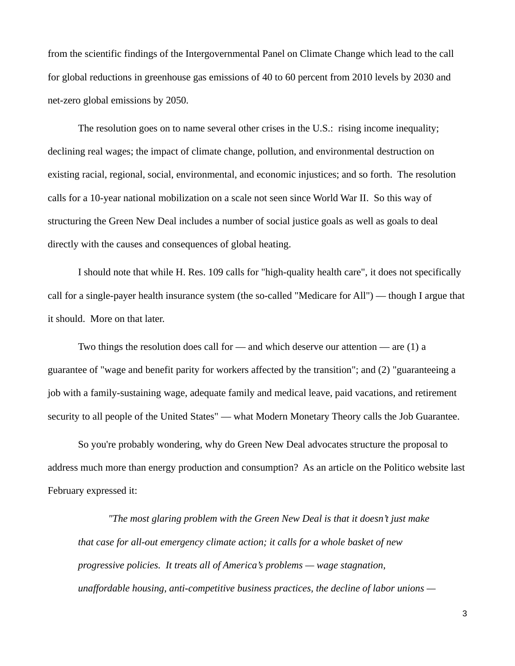from the scientific findings of the Intergovernmental Panel on Climate Change which lead to the call for global reductions in greenhouse gas emissions of 40 to 60 percent from 2010 levels by 2030 and net-zero global emissions by 2050.

The resolution goes on to name several other crises in the U.S.: rising income inequality; declining real wages; the impact of climate change, pollution, and environmental destruction on existing racial, regional, social, environmental, and economic injustices; and so forth. The resolution calls for a 10-year national mobilization on a scale not seen since World War II. So this way of structuring the Green New Deal includes a number of social justice goals as well as goals to deal directly with the causes and consequences of global heating.

I should note that while H. Res. 109 calls for "high-quality health care", it does not specifically call for a single-payer health insurance system (the so-called "Medicare for All") — though I argue that it should. More on that later.

Two things the resolution does call for  $-$  and which deserve our attention  $-$  are (1) a guarantee of "wage and benefit parity for workers affected by the transition"; and (2) "guaranteeing a job with a family-sustaining wage, adequate family and medical leave, paid vacations, and retirement security to all people of the United States" — what Modern Monetary Theory calls the Job Guarantee.

So you're probably wondering, why do Green New Deal advocates structure the proposal to address much more than energy production and consumption? As an article on the Politico website last February expressed it:

*"The most glaring problem with the Green New Deal is that it doesn't just make that case for all-out emergency climate action; it calls for a whole basket of new progressive policies. It treats all of America's problems — wage stagnation, unaffordable housing, anti-competitive business practices, the decline of labor unions —*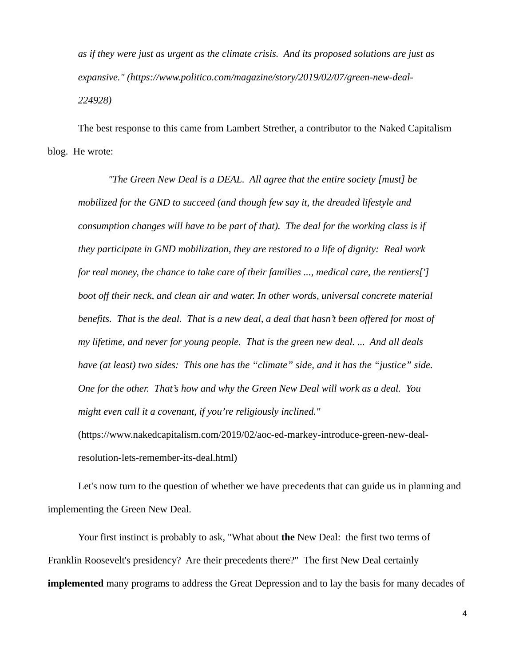*as if they were just as urgent as the climate crisis. And its proposed solutions are just as expansive." (https://www.politico.com/magazine/story/2019/02/07/green-new-deal-224928)*

The best response to this came from Lambert Strether, a contributor to the Naked Capitalism blog. He wrote:

*"The Green New Deal is a DEAL. All agree that the entire society [must] be mobilized for the GND to succeed (and though few say it, the dreaded lifestyle and consumption changes will have to be part of that). The deal for the working class is if they participate in GND mobilization, they are restored to a life of dignity: Real work for real money, the chance to take care of their families ..., medical care, the rentiers['] boot off their neck, and clean air and water. In other words, universal concrete material benefits. That is the deal. That is a new deal, a deal that hasn't been offered for most of my lifetime, and never for young people. That is the green new deal. ... And all deals have (at least) two sides: This one has the "climate" side, and it has the "justice" side. One for the other. That's how and why the Green New Deal will work as a deal. You might even call it a covenant, if you're religiously inclined."* 

(https://www.nakedcapitalism.com/2019/02/aoc-ed-markey-introduce-green-new-dealresolution-lets-remember-its-deal.html)

Let's now turn to the question of whether we have precedents that can guide us in planning and implementing the Green New Deal.

Your first instinct is probably to ask, "What about **the** New Deal: the first two terms of Franklin Roosevelt's presidency? Are their precedents there?" The first New Deal certainly **implemented** many programs to address the Great Depression and to lay the basis for many decades of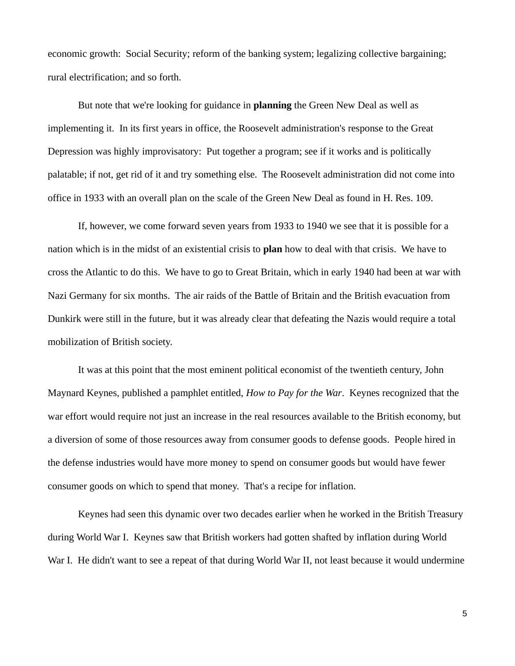economic growth: Social Security; reform of the banking system; legalizing collective bargaining; rural electrification; and so forth.

But note that we're looking for guidance in **planning** the Green New Deal as well as implementing it. In its first years in office, the Roosevelt administration's response to the Great Depression was highly improvisatory: Put together a program; see if it works and is politically palatable; if not, get rid of it and try something else. The Roosevelt administration did not come into office in 1933 with an overall plan on the scale of the Green New Deal as found in H. Res. 109.

If, however, we come forward seven years from 1933 to 1940 we see that it is possible for a nation which is in the midst of an existential crisis to **plan** how to deal with that crisis. We have to cross the Atlantic to do this. We have to go to Great Britain, which in early 1940 had been at war with Nazi Germany for six months. The air raids of the Battle of Britain and the British evacuation from Dunkirk were still in the future, but it was already clear that defeating the Nazis would require a total mobilization of British society.

It was at this point that the most eminent political economist of the twentieth century, John Maynard Keynes, published a pamphlet entitled, *How to Pay for the War*. Keynes recognized that the war effort would require not just an increase in the real resources available to the British economy, but a diversion of some of those resources away from consumer goods to defense goods. People hired in the defense industries would have more money to spend on consumer goods but would have fewer consumer goods on which to spend that money. That's a recipe for inflation.

Keynes had seen this dynamic over two decades earlier when he worked in the British Treasury during World War I. Keynes saw that British workers had gotten shafted by inflation during World War I. He didn't want to see a repeat of that during World War II, not least because it would undermine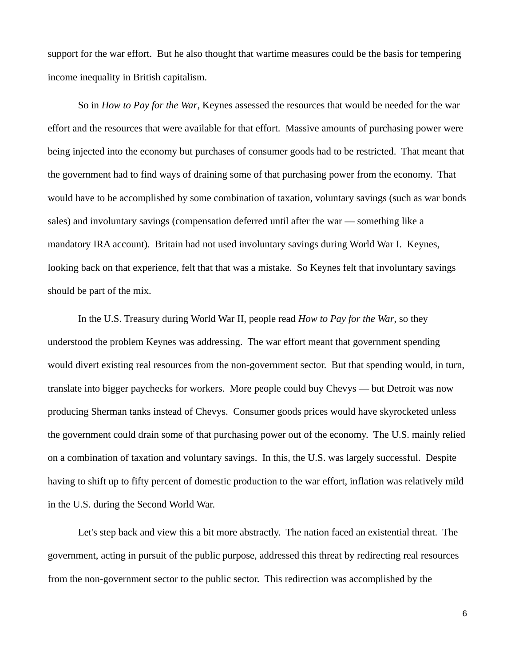support for the war effort. But he also thought that wartime measures could be the basis for tempering income inequality in British capitalism.

So in *How to Pay for the War*, Keynes assessed the resources that would be needed for the war effort and the resources that were available for that effort. Massive amounts of purchasing power were being injected into the economy but purchases of consumer goods had to be restricted. That meant that the government had to find ways of draining some of that purchasing power from the economy. That would have to be accomplished by some combination of taxation, voluntary savings (such as war bonds sales) and involuntary savings (compensation deferred until after the war — something like a mandatory IRA account). Britain had not used involuntary savings during World War I. Keynes, looking back on that experience, felt that that was a mistake. So Keynes felt that involuntary savings should be part of the mix.

In the U.S. Treasury during World War II, people read *How to Pay for the War*, so they understood the problem Keynes was addressing. The war effort meant that government spending would divert existing real resources from the non-government sector. But that spending would, in turn, translate into bigger paychecks for workers. More people could buy Chevys — but Detroit was now producing Sherman tanks instead of Chevys. Consumer goods prices would have skyrocketed unless the government could drain some of that purchasing power out of the economy. The U.S. mainly relied on a combination of taxation and voluntary savings. In this, the U.S. was largely successful. Despite having to shift up to fifty percent of domestic production to the war effort, inflation was relatively mild in the U.S. during the Second World War.

Let's step back and view this a bit more abstractly. The nation faced an existential threat. The government, acting in pursuit of the public purpose, addressed this threat by redirecting real resources from the non-government sector to the public sector. This redirection was accomplished by the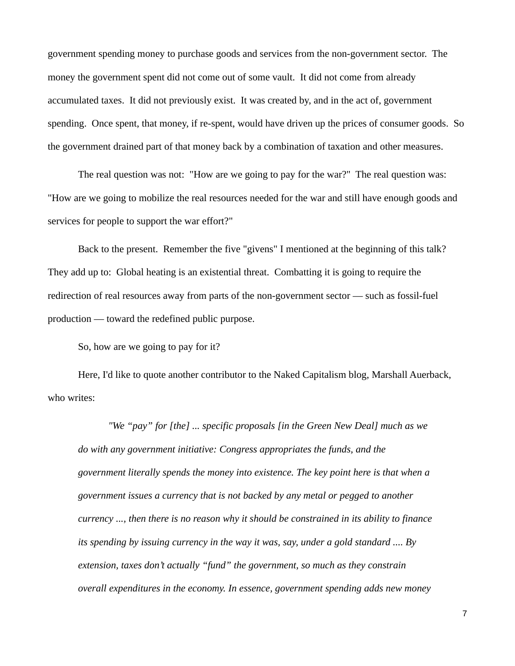government spending money to purchase goods and services from the non-government sector. The money the government spent did not come out of some vault. It did not come from already accumulated taxes. It did not previously exist. It was created by, and in the act of, government spending. Once spent, that money, if re-spent, would have driven up the prices of consumer goods. So the government drained part of that money back by a combination of taxation and other measures.

The real question was not: "How are we going to pay for the war?" The real question was: "How are we going to mobilize the real resources needed for the war and still have enough goods and services for people to support the war effort?"

Back to the present. Remember the five "givens" I mentioned at the beginning of this talk? They add up to: Global heating is an existential threat. Combatting it is going to require the redirection of real resources away from parts of the non-government sector — such as fossil-fuel production — toward the redefined public purpose.

So, how are we going to pay for it?

Here, I'd like to quote another contributor to the Naked Capitalism blog, Marshall Auerback, who writes:

*"We "pay" for [the] ... specific proposals [in the Green New Deal] much as we do with any government initiative: Congress appropriates the funds, and the government literally spends the money into existence. The key point here is that when a government issues a currency that is not backed by any metal or pegged to another currency ..., then there is no reason why it should be constrained in its ability to finance its spending by issuing currency in the way it was, say, under a gold standard .... By extension, taxes don't actually "fund" the government, so much as they constrain overall expenditures in the economy. In essence, government spending adds new money*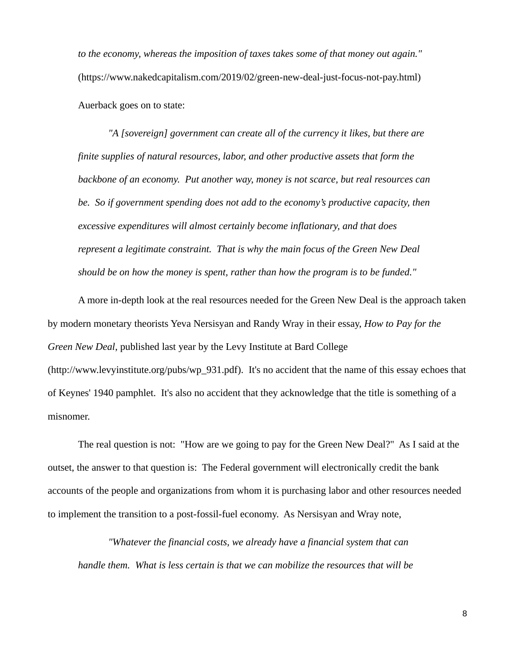*to the economy, whereas the imposition of taxes takes some of that money out again."*  (https://www.nakedcapitalism.com/2019/02/green-new-deal-just-focus-not-pay.html) Auerback goes on to state:

"A [sovereign] government can create all of the currency it likes, but there are *finite supplies of natural resources, labor, and other productive assets that form the backbone of an economy. Put another way, money is not scarce, but real resources can be. So if government spending does not add to the economy's productive capacity, then excessive expenditures will almost certainly become inflationary, and that does represent a legitimate constraint. That is why the main focus of the Green New Deal should be on how the money is spent, rather than how the program is to be funded."*

A more in-depth look at the real resources needed for the Green New Deal is the approach taken by modern monetary theorists Yeva Nersisyan and Randy Wray in their essay, *How to Pay for the Green New Deal*, published last year by the Levy Institute at Bard College (http://www.levyinstitute.org/pubs/wp\_931.pdf). It's no accident that the name of this essay echoes that of Keynes' 1940 pamphlet. It's also no accident that they acknowledge that the title is something of a misnomer.

The real question is not: "How are we going to pay for the Green New Deal?" As I said at the outset, the answer to that question is: The Federal government will electronically credit the bank accounts of the people and organizations from whom it is purchasing labor and other resources needed to implement the transition to a post-fossil-fuel economy. As Nersisyan and Wray note,

*"Whatever the financial costs, we already have a financial system that can handle them. What is less certain is that we can mobilize the resources that will be*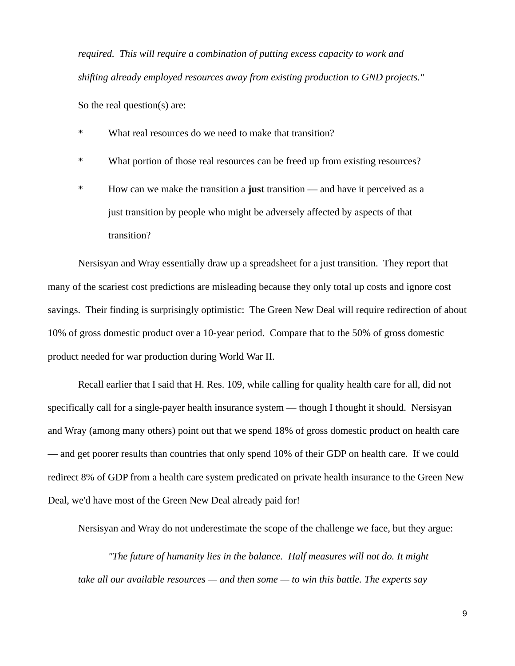*required. This will require a combination of putting excess capacity to work and shifting already employed resources away from existing production to GND projects."*

So the real question(s) are:

- \* What real resources do we need to make that transition?
- \* What portion of those real resources can be freed up from existing resources?
- \* How can we make the transition a **just** transition and have it perceived as a just transition by people who might be adversely affected by aspects of that transition?

Nersisyan and Wray essentially draw up a spreadsheet for a just transition. They report that many of the scariest cost predictions are misleading because they only total up costs and ignore cost savings. Their finding is surprisingly optimistic: The Green New Deal will require redirection of about 10% of gross domestic product over a 10-year period. Compare that to the 50% of gross domestic product needed for war production during World War II.

Recall earlier that I said that H. Res. 109, while calling for quality health care for all, did not specifically call for a single-payer health insurance system — though I thought it should. Nersisyan and Wray (among many others) point out that we spend 18% of gross domestic product on health care — and get poorer results than countries that only spend 10% of their GDP on health care. If we could redirect 8% of GDP from a health care system predicated on private health insurance to the Green New Deal, we'd have most of the Green New Deal already paid for!

Nersisyan and Wray do not underestimate the scope of the challenge we face, but they argue:

*"The future of humanity lies in the balance. Half measures will not do. It might take all our available resources — and then some — to win this battle. The experts say*